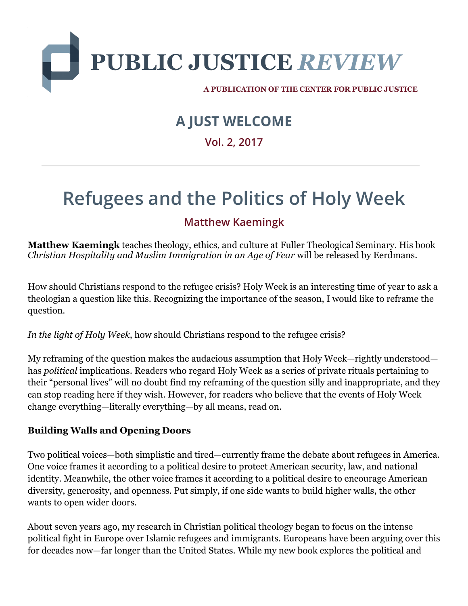

A PUBLICATION OF THE CENTER FOR PUBLIC JUSTICE

# **A JUST WELCOME**

# **Vol. 2, 2017**

# **Refugees and the Politics of Holy Week**

# **Matthew Kaemingk**

**Matthew Kaemingk** teaches theology, ethics, and culture at Fuller Theological Seminary. His book *Christian Hospitality and Muslim Immigration in an Age of Fear* will be released by Eerdmans.

How should Christians respond to the refugee crisis? Holy Week is an interesting time of year to ask a theologian a question like this. Recognizing the importance of the season, I would like to reframe the question.

*In the light of Holy Week*, how should Christians respond to the refugee crisis?

My reframing of the question makes the audacious assumption that Holy Week—rightly understood has *political* implications. Readers who regard Holy Week as a series of private rituals pertaining to their "personal lives" will no doubt find my reframing of the question silly and inappropriate, and they can stop reading here if they wish. However, for readers who believe that the events of Holy Week change everything—literally everything—by all means, read on.

### **Building Walls and Opening Doors**

Two political voices—both simplistic and tired—currently frame the debate about refugees in America. One voice frames it according to a political desire to protect American security, law, and national identity. Meanwhile, the other voice frames it according to a political desire to encourage American diversity, generosity, and openness. Put simply, if one side wants to build higher walls, the other wants to open wider doors.

About seven years ago, my research in Christian political theology began to focus on the intense political fight in Europe over Islamic refugees and immigrants. Europeans have been arguing over this for decades now—far longer than the United States. While my new book explores the political and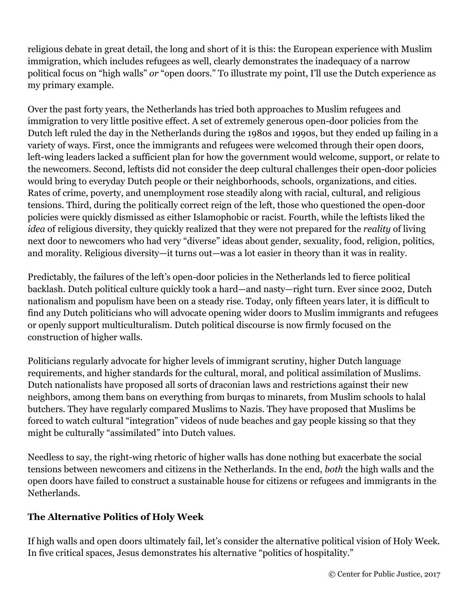religious debate in great detail, the long and short of it is this: the European experience with Muslim immigration, which includes refugees as well, clearly demonstrates the inadequacy of a narrow political focus on "high walls" *or* "open doors." To illustrate my point, I'll use the Dutch experience as my primary example.

Over the past forty years, the Netherlands has tried both approaches to Muslim refugees and immigration to very little positive effect. A set of extremely generous open-door policies from the Dutch left ruled the day in the Netherlands during the 1980s and 1990s, but they ended up failing in a variety of ways. First, once the immigrants and refugees were welcomed through their open doors, left-wing leaders lacked a sufficient plan for how the government would welcome, support, or relate to the newcomers. Second, leftists did not consider the deep cultural challenges their open-door policies would bring to everyday Dutch people or their neighborhoods, schools, organizations, and cities. Rates of crime, poverty, and unemployment rose steadily along with racial, cultural, and religious tensions. Third, during the politically correct reign of the left, those who questioned the open-door policies were quickly dismissed as either Islamophobic or racist. Fourth, while the leftists liked the *idea* of religious diversity, they quickly realized that they were not prepared for the *reality* of living next door to newcomers who had very "diverse" ideas about gender, sexuality, food, religion, politics, and morality. Religious diversity—it turns out—was a lot easier in theory than it was in reality.

Predictably, the failures of the left's open-door policies in the Netherlands led to fierce political backlash. Dutch political culture quickly took a hard—and nasty—right turn. Ever since 2002, Dutch nationalism and populism have been on a steady rise. Today, only fifteen years later, it is difficult to find any Dutch politicians who will advocate opening wider doors to Muslim immigrants and refugees or openly support multiculturalism. Dutch political discourse is now firmly focused on the construction of higher walls.

Politicians regularly advocate for higher levels of immigrant scrutiny, higher Dutch language requirements, and higher standards for the cultural, moral, and political assimilation of Muslims. Dutch nationalists have proposed all sorts of draconian laws and restrictions against their new neighbors, among them bans on everything from burqas to minarets, from Muslim schools to halal butchers. They have regularly compared Muslims to Nazis. They have proposed that Muslims be forced to watch cultural "integration" videos of nude beaches and gay people kissing so that they might be culturally "assimilated" into Dutch values.

Needless to say, the right-wing rhetoric of higher walls has done nothing but exacerbate the social tensions between newcomers and citizens in the Netherlands. In the end, *both* the high walls and the open doors have failed to construct a sustainable house for citizens or refugees and immigrants in the Netherlands.

### **The Alternative Politics of Holy Week**

If high walls and open doors ultimately fail, let's consider the alternative political vision of Holy Week. In five critical spaces, Jesus demonstrates his alternative "politics of hospitality."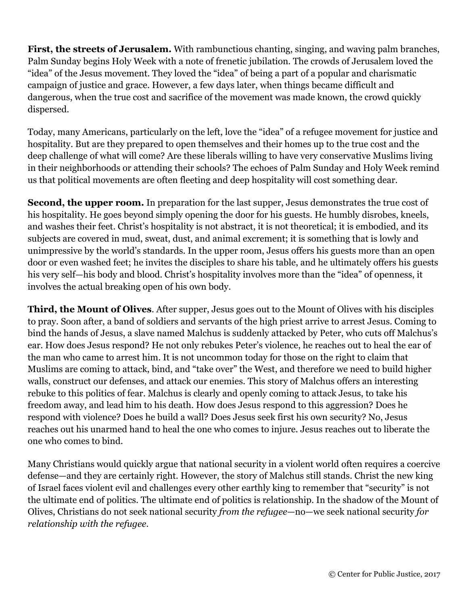**First, the streets of Jerusalem.** With rambunctious chanting, singing, and waving palm branches, Palm Sunday begins Holy Week with a note of frenetic jubilation. The crowds of Jerusalem loved the "idea" of the Jesus movement. They loved the "idea" of being a part of a popular and charismatic campaign of justice and grace. However, a few days later, when things became difficult and dangerous, when the true cost and sacrifice of the movement was made known, the crowd quickly dispersed.

Today, many Americans, particularly on the left, love the "idea" of a refugee movement for justice and hospitality. But are they prepared to open themselves and their homes up to the true cost and the deep challenge of what will come? Are these liberals willing to have very conservative Muslims living in their neighborhoods or attending their schools? The echoes of Palm Sunday and Holy Week remind us that political movements are often fleeting and deep hospitality will cost something dear.

**Second, the upper room.** In preparation for the last supper, Jesus demonstrates the true cost of his hospitality. He goes beyond simply opening the door for his guests. He humbly disrobes, kneels, and washes their feet. Christ's hospitality is not abstract, it is not theoretical; it is embodied, and its subjects are covered in mud, sweat, dust, and animal excrement; it is something that is lowly and unimpressive by the world's standards. In the upper room, Jesus offers his guests more than an open door or even washed feet; he invites the disciples to share his table, and he ultimately offers his guests his very self—his body and blood. Christ's hospitality involves more than the "idea" of openness, it involves the actual breaking open of his own body.

**Third, the Mount of Olives**. After supper, Jesus goes out to the Mount of Olives with his disciples to pray. Soon after, a band of soldiers and servants of the high priest arrive to arrest Jesus. Coming to bind the hands of Jesus, a slave named Malchus is suddenly attacked by Peter, who cuts off Malchus's ear. How does Jesus respond? He not only rebukes Peter's violence, he reaches out to heal the ear of the man who came to arrest him. It is not uncommon today for those on the right to claim that Muslims are coming to attack, bind, and "take over" the West, and therefore we need to build higher walls, construct our defenses, and attack our enemies. This story of Malchus offers an interesting rebuke to this politics of fear. Malchus is clearly and openly coming to attack Jesus, to take his freedom away, and lead him to his death. How does Jesus respond to this aggression? Does he respond with violence? Does he build a wall? Does Jesus seek first his own security? No, Jesus reaches out his unarmed hand to heal the one who comes to injure. Jesus reaches out to liberate the one who comes to bind.

Many Christians would quickly argue that national security in a violent world often requires a coercive defense—and they are certainly right. However, the story of Malchus still stands. Christ the new king of Israel faces violent evil and challenges every other earthly king to remember that "security" is not the ultimate end of politics. The ultimate end of politics is relationship. In the shadow of the Mount of Olives, Christians do not seek national security *from the refugee*—no—we seek national security *for relationship with the refugee*.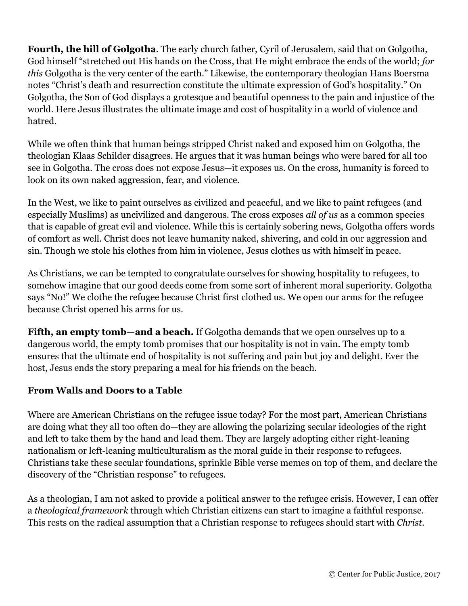**Fourth, the hill of Golgotha**. The early church father, Cyril of Jerusalem, said that on Golgotha, God himself "stretched out His hands on the Cross, that He might embrace the ends of the world; *for this* Golgotha is the very center of the earth." Likewise, the contemporary theologian Hans Boersma notes "Christ's death and resurrection constitute the ultimate expression of God's hospitality." On Golgotha, the Son of God displays a grotesque and beautiful openness to the pain and injustice of the world. Here Jesus illustrates the ultimate image and cost of hospitality in a world of violence and hatred.

While we often think that human beings stripped Christ naked and exposed him on Golgotha, the theologian Klaas Schilder disagrees. He argues that it was human beings who were bared for all too see in Golgotha. The cross does not expose Jesus—it exposes us. On the cross, humanity is forced to look on its own naked aggression, fear, and violence.

In the West, we like to paint ourselves as civilized and peaceful, and we like to paint refugees (and especially Muslims) as uncivilized and dangerous. The cross exposes *all of us* as a common species that is capable of great evil and violence. While this is certainly sobering news, Golgotha offers words of comfort as well. Christ does not leave humanity naked, shivering, and cold in our aggression and sin. Though we stole his clothes from him in violence, Jesus clothes us with himself in peace.

As Christians, we can be tempted to congratulate ourselves for showing hospitality to refugees, to somehow imagine that our good deeds come from some sort of inherent moral superiority. Golgotha says "No!" We clothe the refugee because Christ first clothed us. We open our arms for the refugee because Christ opened his arms for us.

**Fifth, an empty tomb—and a beach.** If Golgotha demands that we open ourselves up to a dangerous world, the empty tomb promises that our hospitality is not in vain. The empty tomb ensures that the ultimate end of hospitality is not suffering and pain but joy and delight. Ever the host, Jesus ends the story preparing a meal for his friends on the beach.

### **From Walls and Doors to a Table**

Where are American Christians on the refugee issue today? For the most part, American Christians are doing what they all too often do—they are allowing the polarizing secular ideologies of the right and left to take them by the hand and lead them. They are largely adopting either right-leaning nationalism or left-leaning multiculturalism as the moral guide in their response to refugees. Christians take these secular foundations, sprinkle Bible verse memes on top of them, and declare the discovery of the "Christian response" to refugees.

As a theologian, I am not asked to provide a political answer to the refugee crisis. However, I can offer a *theological framework* through which Christian citizens can start to imagine a faithful response. This rests on the radical assumption that a Christian response to refugees should start with *Christ*.